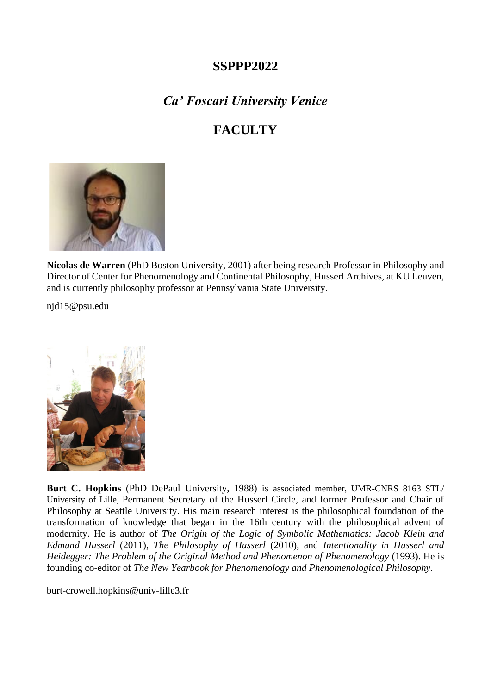## **SSPPP2022**

## *Ca' Foscari University Venice*

## **FACULTY**



**Nicolas de Warren** (PhD Boston University, 2001) after being research Professor in Philosophy and Director of Center for Phenomenology and Continental Philosophy, Husserl Archives, at KU Leuven, and is currently philosophy professor at Pennsylvania State University.

njd15@psu.edu



**Burt C. Hopkins** (PhD DePaul University, 1988) is associated member, UMR-CNRS 8163 STL/ University of Lille, Permanent Secretary of the Husserl Circle, and former Professor and Chair of Philosophy at Seattle University. His main research interest is the philosophical foundation of the transformation of knowledge that began in the 16th century with the philosophical advent of modernity. He is author of *The Origin of the Logic of Symbolic Mathematics: Jacob Klein and Edmund Husserl* (2011), *The Philosophy of Husserl* (2010), and *Intentionality in Husserl and Heidegger: The Problem of the Original Method and Phenomenon of Phenomenology* (1993). He is founding co-editor of *The New Yearbook for Phenomenology and Phenomenological Philosophy*.

[burt-crowell.hopkins@univ-lille3.fr](mailto:burt-crowell.hopkins@univ-lille3.fr)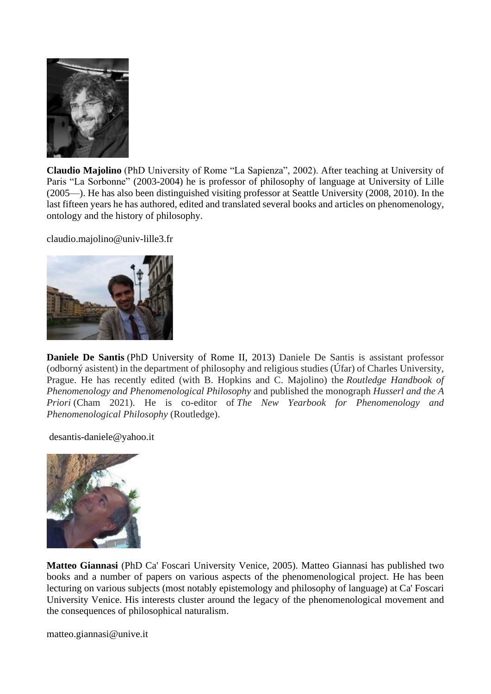

**Claudio Majolino** (PhD University of Rome "La Sapienza", 2002). After teaching at University of Paris "La Sorbonne" (2003-2004) he is professor of philosophy of language at University of Lille (2005—). He has also been distinguished visiting professor at Seattle University (2008, 2010). In the last fifteen years he has authored, edited and translated several books and articles on phenomenology, ontology and the history of philosophy.

claudio.majolino@univ-lille3.fr



**Daniele De Santis** (PhD University of Rome II, 2013) Daniele De Santis is assistant professor (odborný asistent) in the department of philosophy and religious studies (Úfar) of Charles University, Prague. He has recently edited (with B. Hopkins and C. Majolino) the *Routledge Handbook of Phenomenology and Phenomenological Philosophy* and published the monograph *Husserl and the A Priori* (Cham 2021). He is co-editor of *The New Yearbook for Phenomenology and Phenomenological Philosophy* (Routledge).

desantis-daniele@yahoo.it



**Matteo Giannasi** (PhD Ca' Foscari University Venice, 2005). Matteo Giannasi has published two books and a number of papers on various aspects of the phenomenological project. He has been lecturing on various subjects (most notably epistemology and philosophy of language) at Ca' Foscari University Venice. His interests cluster around the legacy of the phenomenological movement and the consequences of philosophical naturalism.

matteo.giannasi@unive.it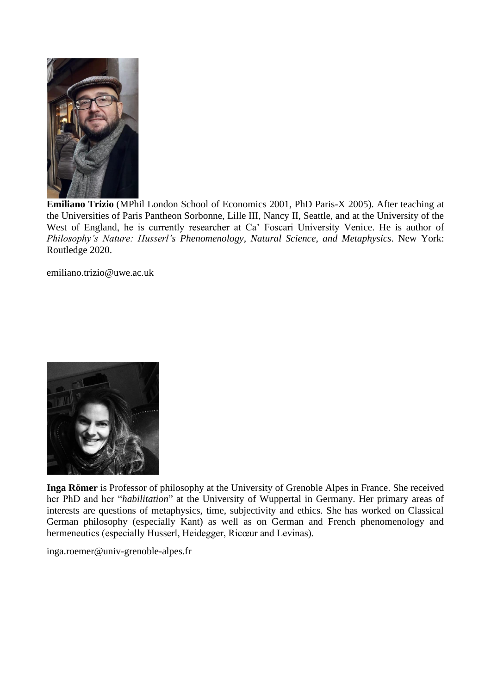

**Emiliano Trizio** (MPhil London School of Economics 2001, PhD Paris-X 2005). After teaching at the Universities of Paris Pantheon Sorbonne, Lille III, Nancy II, Seattle, and at the University of the West of England, he is currently researcher at Ca' Foscari University Venice. He is author of *Philosophy's Nature: Husserl's Phenomenology, Natural Science, and Metaphysics*. New York: Routledge 2020.

emiliano.trizio@uwe.ac.uk



**Inga Römer** is Professor of philosophy at the University of Grenoble Alpes in France. She received her PhD and her "*habilitation*" at the University of Wuppertal in Germany. Her primary areas of interests are questions of metaphysics, time, subjectivity and ethics. She has worked on Classical German philosophy (especially Kant) as well as on German and French phenomenology and hermeneutics (especially Husserl, Heidegger, Ricœur and Levinas).

inga.roemer@univ-grenoble-alpes.fr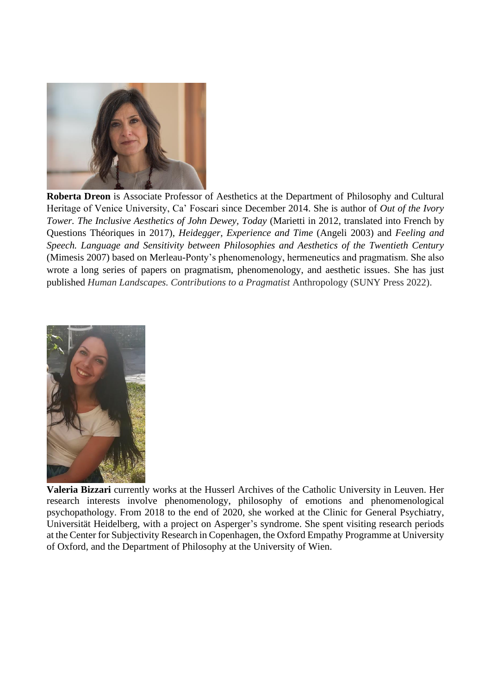

**Roberta Dreon** is Associate Professor of Aesthetics at the Department of Philosophy and Cultural Heritage of Venice University, Ca' Foscari since December 2014. She is author of *Out of the Ivory Tower. The Inclusive Aesthetics of John Dewey, Today* (Marietti in 2012, translated into French by Questions Théoriques in 2017), *Heidegger, Experience and Time* (Angeli 2003) and *Feeling and Speech. Language and Sensitivity between Philosophies and Aesthetics of the Twentieth Century* (Mimesis 2007) based on Merleau-Ponty's phenomenology, hermeneutics and pragmatism. She also wrote a long series of papers on pragmatism, phenomenology, and aesthetic issues. She has just published *Human Landscapes. Contributions to a Pragmatist* Anthropology (SUNY Press 2022).



**Valeria Bizzari** currently works at the Husserl Archives of the Catholic University in Leuven. Her research interests involve phenomenology, philosophy of emotions and phenomenological psychopathology. From 2018 to the end of 2020, she worked at the Clinic for General Psychiatry, Universität Heidelberg, with a project on Asperger's syndrome. She spent visiting research periods at the Center for Subjectivity Research in Copenhagen, the Oxford Empathy Programme at University of Oxford, and the Department of Philosophy at the University of Wien.